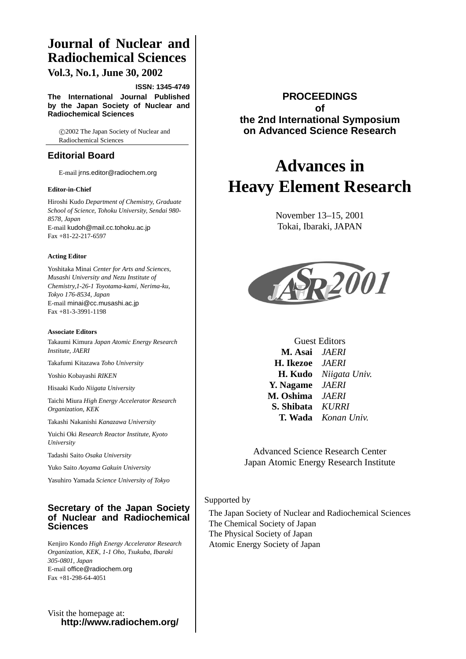# **Journal of Nuclear and Radiochemical Sciences**

**Vol.3, No.1, June 30, 2002**

**ISSN: 1345-4749**

**The International Journal Published by the Japan Society of Nuclear and Radiochemical Sciences**

c 2002 The Japan Society of Nuclear and Radiochemical Sciences

## **Editorial Board**

E-mail jrns.editor@radiochem.org

#### **Editor-in-Chief**

Hiroshi Kudo *Department of Chemistry, Graduate School of Science, Tohoku University, Sendai 980- 8578, Japan* E-mail kudoh@mail.cc.tohoku.ac.jp Fax +81-22-217-6597

#### **Acting Editor**

Yoshitaka Minai *Center for Arts and Sciences, Musashi University and Nezu Institute of Chemistry,1-26-1 Toyotama-kami, Nerima-ku, Tokyo 176-8534, Japan* E-mail minai@cc.musashi.ac.jp Fax +81-3-3991-1198

#### **Associate Editors**

Takaumi Kimura *Japan Atomic Energy Research Institute, JAERI*

Takafumi Kitazawa *Toho University*

Yoshio Kobayashi *RIKEN*

Hisaaki Kudo *Niigata University*

Taichi Miura *High Energy Accelerator Research Organization, KEK*

Takashi Nakanishi *Kanazawa University*

Yuichi Oki *Research Reactor Institute, Kyoto University*

Tadashi Saito *Osaka University*

Yuko Saito *Aoyama Gakuin University*

Yasuhiro Yamada *Science University of Tokyo*

#### **Secretary of the Japan Society of Nuclear and Radiochemical Sciences**

Kenjiro Kondo *High Energy Accelerator Research Organization, KEK, 1-1 Oho, Tsukuba, Ibaraki 305-0801, Japan* E-mail office@radiochem.org Fax +81-298-64-4051

Visit the homepage at: **http://www.radiochem.org/**

#### **PROCEEDINGS of the 2nd International Symposium on Advanced Science Research**

# **Advances in Heavy Element Research**

November 13–15, 2001 Tokai, Ibaraki, JAPAN



Guest Editors **M. Asai** *JAERI* **H. Ikezoe** *JAERI* **H. Kudo** *Niigata Univ.* **Y. Nagame** *JAERI* **M. Oshima** *JAERI* **S. Shibata** *KURRI* **T. Wada** *Konan Univ.*

Advanced Science Research Center Japan Atomic Energy Research Institute

#### Supported by

The Japan Society of Nuclear and Radiochemical Sciences The Chemical Society of Japan The Physical Society of Japan Atomic Energy Society of Japan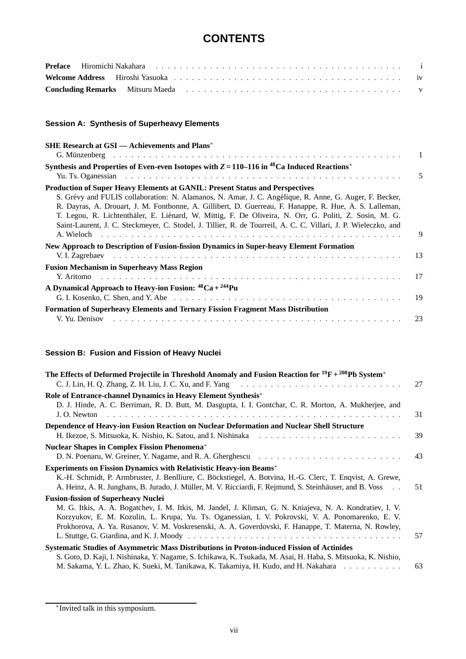# **CONTENTS**

#### **Session A: Synthesis of Superheavy Elements**

| <b>SHE Research at GSI</b> — Achievements and Plans <sup>*</sup>                                                                                                                                                                                                                                                                                                                                                                                                                                                                   |                |
|------------------------------------------------------------------------------------------------------------------------------------------------------------------------------------------------------------------------------------------------------------------------------------------------------------------------------------------------------------------------------------------------------------------------------------------------------------------------------------------------------------------------------------|----------------|
| Synthesis and Properties of Even-even Isotopes with $Z = 110-116$ in <sup>48</sup> Ca Induced Reactions <sup>*</sup>                                                                                                                                                                                                                                                                                                                                                                                                               | $\blacksquare$ |
|                                                                                                                                                                                                                                                                                                                                                                                                                                                                                                                                    | 5              |
| <b>Production of Super Heavy Elements at GANIL: Present Status and Perspectives</b><br>S. Grévy and FULIS collaboration: N. Alamanos, N. Amar, J. C. Angélique, R. Anne, G. Auger, F. Becker,<br>R. Dayras, A. Drouart, J. M. Fontbonne, A. Gillibert, D. Guerreau, F. Hanappe, R. Hue, A. S. Lalleman,<br>T. Legou, R. Lichtenthäler, E. Liénard, W. Mittig, F. De Oliveira, N. Orr, G. Politi, Z. Sosin, M. G.<br>Saint-Laurent, J. C. Steckmeyer, C. Stodel, J. Tillier, R. de Tourreil, A. C. C. Villari, J. P. Wieleczko, and | 9              |
| New Approach to Description of Fusion-fission Dynamics in Super-heavy Element Formation                                                                                                                                                                                                                                                                                                                                                                                                                                            |                |
|                                                                                                                                                                                                                                                                                                                                                                                                                                                                                                                                    | -13            |
| <b>Fusion Mechanism in Superheavy Mass Region</b><br>Y. Aritomo                                                                                                                                                                                                                                                                                                                                                                                                                                                                    |                |
| A Dynamical Approach to Heavy-ion Fusion: ${}^{48}Ca + {}^{244}Pu$                                                                                                                                                                                                                                                                                                                                                                                                                                                                 |                |
|                                                                                                                                                                                                                                                                                                                                                                                                                                                                                                                                    |                |
| <b>Formation of Superheavy Elements and Ternary Fission Fragment Mass Distribution</b>                                                                                                                                                                                                                                                                                                                                                                                                                                             |                |
| V. Yu. Denisov                                                                                                                                                                                                                                                                                                                                                                                                                                                                                                                     | 23             |

## **Session B: Fusion and Fission of Heavy Nuclei**

| The Effects of Deformed Projectile in Threshold Anomaly and Fusion Reaction for ${}^{19}F + {}^{208}Pb$ System <sup>*</sup>    |    |
|--------------------------------------------------------------------------------------------------------------------------------|----|
|                                                                                                                                | 27 |
| Role of Entrance-channel Dynamics in Heavy Element Synthesis*                                                                  |    |
| D. J. Hinde, A. C. Berriman, R. D. Butt, M. Dasgupta, I. I. Gontchar, C. R. Morton, A. Mukherjee, and                          |    |
| and a complete complete that the complete complete the complete complete complete the complete complete the co<br>J. O. Newton | 31 |
| Dependence of Heavy-ion Fusion Reaction on Nuclear Deformation and Nuclear Shell Structure                                     |    |
|                                                                                                                                | 39 |
| <b>Nuclear Shapes in Complex Fission Phenomena*</b>                                                                            |    |
|                                                                                                                                | 43 |
| <b>Experiments on Fission Dynamics with Relativistic Heavy-ion Beams*</b>                                                      |    |
| K.-H. Schmidt, P. Armbruster, J. Benlliure, C. Böckstiegel, A. Botvina, H.-G. Clerc, T. Enqvist, A. Grewe,                     |    |
| A. Heinz, A. R. Junghans, B. Jurado, J. Müller, M. V. Ricciardi, F. Rejmund, S. Steinhäuser, and B. Voss                       | 51 |
| <b>Fusion-fission of Superheavy Nuclei</b>                                                                                     |    |
| M. G. Itkis, A. A. Bogatchev, I. M. Itkis, M. Jandel, J. Kliman, G. N. Kniajeva, N. A. Kondratiev, I. V.                       |    |
| Korzyukov, E. M. Kozulin, L. Krupa, Yu. Ts. Oganessian, I. V. Pokrovski, V. A. Ponomarenko, E. V.                              |    |
| Prokhorova, A. Ya. Rusanov, V. M. Voskresenski, A. A. Goverdovski, F. Hanappe, T. Materna, N. Rowley,                          |    |
|                                                                                                                                | 57 |
| Systematic Studies of Asymmetric Mass Distributions in Proton-induced Fission of Actinides                                     |    |
| S. Goto, D. Kaji, I. Nishinaka, Y. Nagame, S. Ichikawa, K. Tsukada, M. Asai, H. Haba, S. Mitsuoka, K. Nishio,                  |    |
| M. Sakama, Y. L. Zhao, K. Sueki, M. Tanikawa, K. Takamiya, H. Kudo, and H. Nakahara                                            | 63 |

<sup>∗</sup>Invited talk in this symposium.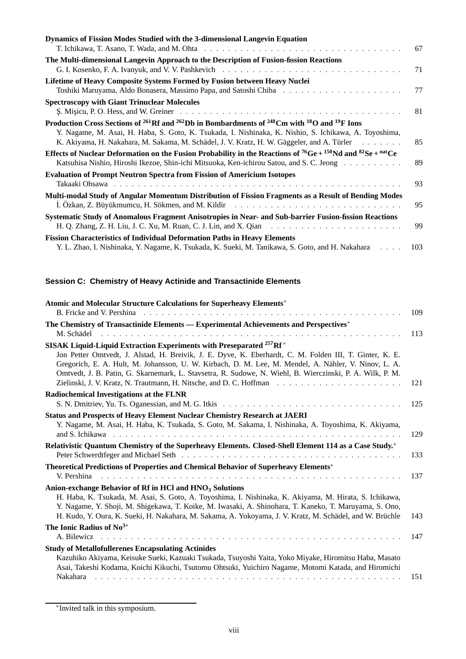| Dynamics of Fission Modes Studied with the 3-dimensional Langevin Equation                                                                                 |     |
|------------------------------------------------------------------------------------------------------------------------------------------------------------|-----|
|                                                                                                                                                            | 67  |
| The Multi-dimensional Langevin Approach to the Description of Fusion-fission Reactions                                                                     |     |
|                                                                                                                                                            | 71  |
| Lifetime of Heavy Composite Systems Formed by Fusion between Heavy Nuclei                                                                                  |     |
|                                                                                                                                                            | 77  |
| <b>Spectroscopy with Giant Trinuclear Molecules</b>                                                                                                        |     |
| $\mathcal{S}$ . Misicu, P. O. Hess, and W. Greiner $\ldots \ldots \ldots \ldots \ldots \ldots \ldots \ldots \ldots \ldots \ldots \ldots \ldots$            | 81  |
| Production Cross Sections of <sup>261</sup> Rf and <sup>262</sup> Db in Bombardments of <sup>248</sup> Cm with <sup>18</sup> O and <sup>19</sup> F Ions    |     |
| Y. Nagame, M. Asai, H. Haba, S. Goto, K. Tsukada, I. Nishinaka, K. Nishio, S. Ichikawa, A. Toyoshima,                                                      |     |
| K. Akiyama, H. Nakahara, M. Sakama, M. Schädel, J. V. Kratz, H. W. Gäggeler, and A. Türler                                                                 | 85  |
| Effects of Nuclear Deformation on the Fusion Probability in the Reactions of <sup>76</sup> Ge + <sup>150</sup> Nd and <sup>82</sup> Se + <sup>nat</sup> Ce |     |
| Katsuhisa Nishio, Hiroshi Ikezoe, Shin-ichi Mitsuoka, Ken-ichirou Satou, and S. C. Jeong                                                                   | 89  |
| <b>Evaluation of Prompt Neutron Spectra from Fission of Americium Isotopes</b>                                                                             |     |
|                                                                                                                                                            | 93  |
| Multi-modal Study of Angular Momentum Distribution of Fission Fragments as a Result of Bending Modes                                                       |     |
|                                                                                                                                                            | 95  |
| Systematic Study of Anomalous Fragment Anisotropies in Near- and Sub-barrier Fusion-fission Reactions                                                      |     |
|                                                                                                                                                            | 99  |
| <b>Fission Characteristics of Individual Deformation Paths in Heavy Elements</b>                                                                           |     |
| Y. L. Zhao, I. Nishinaka, Y. Nagame, K. Tsukada, K. Sueki, M. Tanikawa, S. Goto, and H. Nakahara                                                           | 103 |

## **Session C: Chemistry of Heavy Actinide and Transactinide Elements**

| Atomic and Molecular Structure Calculations for Superheavy Elements*                                                                                                                                                                                                                                                         |     |
|------------------------------------------------------------------------------------------------------------------------------------------------------------------------------------------------------------------------------------------------------------------------------------------------------------------------------|-----|
|                                                                                                                                                                                                                                                                                                                              | 109 |
| The Chemistry of Transactinide Elements — Experimental Achievements and Perspectives*                                                                                                                                                                                                                                        |     |
|                                                                                                                                                                                                                                                                                                                              | 113 |
| SISAK Liquid-Liquid Extraction Experiments with Preseparated <sup>257</sup> Rf <sup>*</sup>                                                                                                                                                                                                                                  |     |
| Jon Petter Omtvedt, J. Alstad, H. Breivik, J. E. Dyve, K. Eberhardt, C. M. Folden III, T. Ginter, K. E.<br>Gregorich, E. A. Hult, M. Johansson, U. W. Kirbach, D. M. Lee, M. Mendel, A. Nähler, V. Ninov, L. A.<br>Omtvedt, J. B. Patin, G. Skarnemark, L. Stavsetra, R. Sudowe, N. Wiehl, B. Wierczinski, P. A. Wilk, P. M. | 121 |
| Radiochemical Investigations at the FLNR                                                                                                                                                                                                                                                                                     |     |
| S. N. Dmitriev, Yu. Ts. Oganessian, and M. G. Itkis $\ldots \ldots \ldots \ldots \ldots \ldots \ldots \ldots \ldots \ldots \ldots \ldots$                                                                                                                                                                                    | 125 |
| <b>Status and Prospects of Heavy Element Nuclear Chemistry Research at JAERI</b>                                                                                                                                                                                                                                             |     |
| Y. Nagame, M. Asai, H. Haba, K. Tsukada, S. Goto, M. Sakama, I. Nishinaka, A. Toyoshima, K. Akiyama,                                                                                                                                                                                                                         |     |
|                                                                                                                                                                                                                                                                                                                              | 129 |
| Relativistic Quantum Chemistry of the Superheavy Elements. Closed-Shell Element 114 as a Case Study.*                                                                                                                                                                                                                        |     |
|                                                                                                                                                                                                                                                                                                                              | 133 |
| <b>Theoretical Predictions of Properties and Chemical Behavior of Superheavy Elements*</b>                                                                                                                                                                                                                                   |     |
| V. Pershina                                                                                                                                                                                                                                                                                                                  | 137 |
| Anion-exchange Behavior of Rf in HCl and HNO <sub>3</sub> Solutions                                                                                                                                                                                                                                                          |     |
| H. Haba, K. Tsukada, M. Asai, S. Goto, A. Toyoshima, I. Nishinaka, K. Akiyama, M. Hirata, S. Ichikawa,<br>Y. Nagame, Y. Shoji, M. Shigekawa, T. Koike, M. Iwasaki, A. Shinohara, T. Kaneko, T. Maruyama, S. Ono,<br>H. Kudo, Y. Oura, K. Sueki, H. Nakahara, M. Sakama, A. Yokoyama, J. V. Kratz, M. Schädel, and W. Brüchle | 143 |
| The Ionic Radius of $No^{3+}$                                                                                                                                                                                                                                                                                                |     |
| A. Bilewicz                                                                                                                                                                                                                                                                                                                  | 147 |
| <b>Study of Metallofullerenes Encapsulating Actinides</b>                                                                                                                                                                                                                                                                    |     |
| Kazuhiko Akiyama, Keisuke Sueki, Kazuaki Tsukada, Tsuyoshi Yaita, Yoko Miyake, Hiromitsu Haba, Masato<br>Asai, Takeshi Kodama, Koichi Kikuchi, Tsutomu Ohtsuki, Yuichiro Nagame, Motomi Katada, and Hiromichi                                                                                                                |     |
|                                                                                                                                                                                                                                                                                                                              | 151 |

<sup>∗</sup>Invited talk in this symposium.